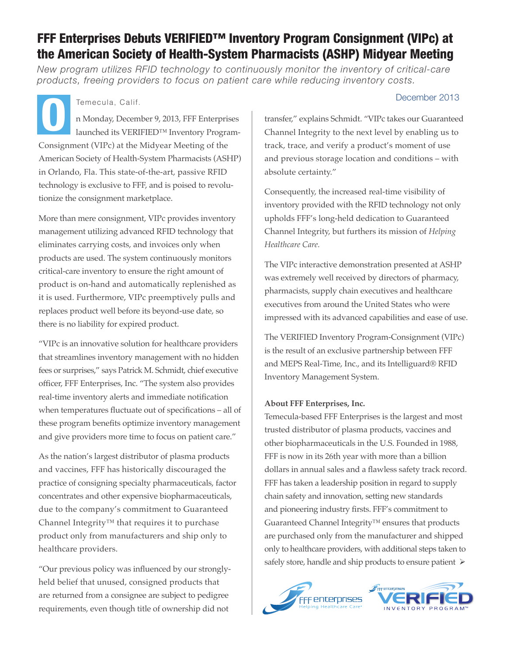# FFF Enterprises Debuts VERIFIED™ Inventory Program Consignment (VIPc) at the American Society of Health-System Pharmacists (ASHP) Midyear Meeting

*New program utilizes RFID technology to continuously monitor the inventory of critical-care products, freeing providers to focus on patient care while reducing inventory costs.*

n Monday, December 9, 2013, FFF Enterprises launched its VERIFIED™ Inventory Program-Consignment (VIPc) at the Midyear Meeting of the American Society of Health-System Pharmacists (ASHP) in Orlando, Fla. This state-of-the-art, passive RFID technology is exclusive to FFF, and is poised to revolutionize the consignment marketplace. Temecula, Calif. December 2013<br>
n Monday, December 9, 2013, FFF Enterprises launched its VERIFIED<sup>TM</sup> Inventory Program-<br>
Channel Integrity to the next level by enabling us to

More than mere consignment, VIPc provides inventory management utilizing advanced RFID technology that eliminates carrying costs, and invoices only when products are used. The system continuously monitors critical-care inventory to ensure the right amount of product is on-hand and automatically replenished as it is used. Furthermore, VIPc preemptively pulls and replaces product well before its beyond-use date, so there is no liability for expired product.

"VIPc is an innovative solution for healthcare providers that streamlines inventory management with no hidden fees or surprises," says Patrick M. Schmidt, chief executive officer, FFF Enterprises, Inc. "The system also provides real-time inventory alerts and immediate notification when temperatures fluctuate out of specifications – all of these program benefits optimize inventory management and give providers more time to focus on patient care."

As the nation's largest distributor of plasma products and vaccines, FFF has historically discouraged the practice of consigning specialty pharmaceuticals, factor concentrates and other expensive biopharmaceuticals, due to the company's commitment to Guaranteed Channel Integrity™ that requires it to purchase product only from manufacturers and ship only to healthcare providers.

"Our previous policy was influenced by our stronglyheld belief that unused, consigned products that are returned from a consignee are subject to pedigree requirements, even though title of ownership did not

transfer," explains Schmidt. "VIPc takes our Guaranteed Channel Integrity to the next level by enabling us to track, trace, and verify a product's moment of use and previous storage location and conditions – with absolute certainty."

Consequently, the increased real-time visibility of inventory provided with the RFID technology not only upholds FFF's long-held dedication to Guaranteed Channel Integrity, but furthers its mission of *Helping Healthcare Care.*

The VIPc interactive demonstration presented at ASHP was extremely well received by directors of pharmacy, pharmacists, supply chain executives and healthcare executives from around the United States who were impressed with its advanced capabilities and ease of use.

The VERIFIED Inventory Program-Consignment (VIPc) is the result of an exclusive partnership between FFF and MEPS Real-Time, Inc., and its Intelliguard® RFID Inventory Management System.

## **About FFF Enterprises, Inc.**

Temecula-based FFF Enterprises is the largest and most trusted distributor of plasma products, vaccines and other biopharmaceuticals in the U.S. Founded in 1988, FFF is now in its 26th year with more than a billion dollars in annual sales and a flawless safety track record. FFF has taken a leadership position in regard to supply chain safety and innovation, setting new standards and pioneering industry firsts. FFF's commitment to Guaranteed Channel Integrity™ ensures that products are purchased only from the manufacturer and shipped only to healthcare providers, with additional steps taken to safely store, handle and ship products to ensure patient  $\triangleright$